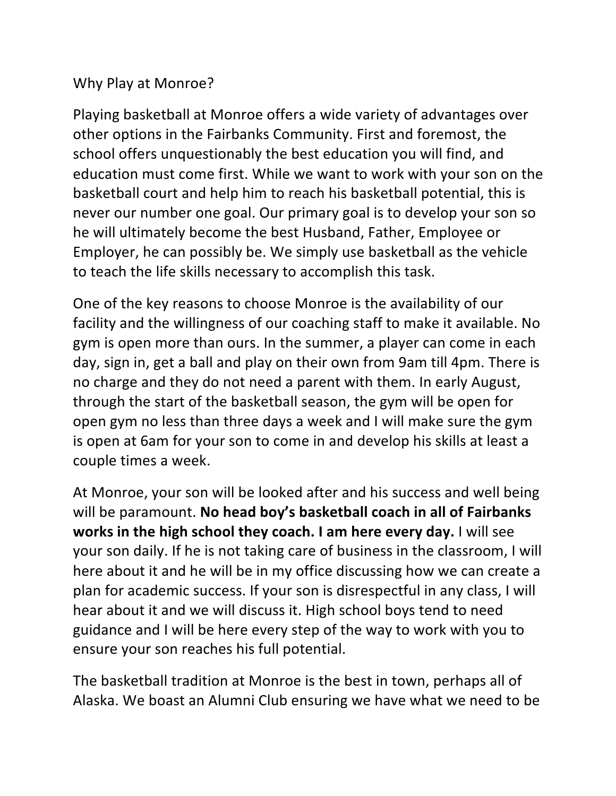## Why Play at Monroe?

Playing basketball at Monroe offers a wide variety of advantages over other options in the Fairbanks Community. First and foremost, the school offers unquestionably the best education you will find, and education must come first. While we want to work with your son on the basketball court and help him to reach his basketball potential, this is never our number one goal. Our primary goal is to develop your son so he will ultimately become the best Husband, Father, Employee or Employer, he can possibly be. We simply use basketball as the vehicle to teach the life skills necessary to accomplish this task.

One of the key reasons to choose Monroe is the availability of our facility and the willingness of our coaching staff to make it available. No gym is open more than ours. In the summer, a player can come in each day, sign in, get a ball and play on their own from 9am till 4pm. There is no charge and they do not need a parent with them. In early August, through the start of the basketball season, the gym will be open for open gym no less than three days a week and I will make sure the gym is open at 6am for your son to come in and develop his skills at least a couple times a week.

At Monroe, your son will be looked after and his success and well being will be paramount. No head boy's basketball coach in all of Fairbanks **works in the high school they coach.** I am here every day. I will see your son daily. If he is not taking care of business in the classroom, I will here about it and he will be in my office discussing how we can create a plan for academic success. If your son is disrespectful in any class, I will hear about it and we will discuss it. High school boys tend to need guidance and I will be here every step of the way to work with you to ensure your son reaches his full potential.

The basketball tradition at Monroe is the best in town, perhaps all of Alaska. We boast an Alumni Club ensuring we have what we need to be